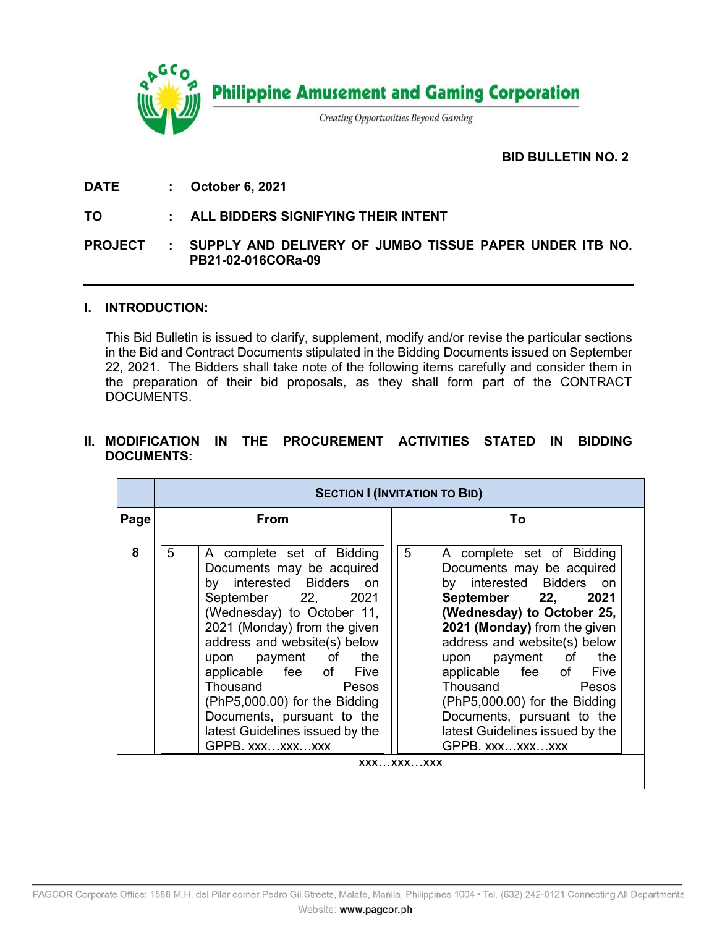

# **BID BULLETIN NO. 2.**

**DATE : October 6, 2021**

## **TO : ALL BIDDERS SIGNIFYING THEIR INTENT**

## **PROJECT : SUPPLY AND DELIVERY OF JUMBO TISSUE PAPER UNDER ITB NO. PB21-02-016CORa-09**

#### **I. INTRODUCTION:**

This Bid Bulletin is issued to clarify, supplement, modify and/or revise the particular sections in the Bid and Contract Documents stipulated in the Bidding Documents issued on September 22, 2021. The Bidders shall take note of the following items carefully and consider them in the preparation of their bid proposals, as they shall form part of the CONTRACT DOCUMENTS.

# **II. MODIFICATION IN THE PROCUREMENT ACTIVITIES STATED IN BIDDING DOCUMENTS:**

|      | <b>SECTION I (INVITATION TO BID)</b>                                                                                                                                                                                                                                                                                                                                                                                     |                                                                                                                                                                                                                                                                                                                                                                                                     |  |  |  |  |
|------|--------------------------------------------------------------------------------------------------------------------------------------------------------------------------------------------------------------------------------------------------------------------------------------------------------------------------------------------------------------------------------------------------------------------------|-----------------------------------------------------------------------------------------------------------------------------------------------------------------------------------------------------------------------------------------------------------------------------------------------------------------------------------------------------------------------------------------------------|--|--|--|--|
| Page | From                                                                                                                                                                                                                                                                                                                                                                                                                     | Т٥                                                                                                                                                                                                                                                                                                                                                                                                  |  |  |  |  |
| 8    | 5<br>A complete set of Bidding<br>Documents may be acquired<br>by interested Bidders on<br>September 22, 2021<br>(Wednesday) to October 11,<br>2021 (Monday) from the given<br>address and website(s) below<br>upon payment of the<br>applicable fee of Five<br><b>Thousand Example 19</b><br>Pesos<br>(PhP5,000.00) for the Bidding<br>Documents, pursuant to the<br>latest Guidelines issued by the<br>GPPB. xxxxxxxxx | 5<br>A complete set of Bidding<br>Documents may be acquired<br>by interested Bidders on<br>September 22, 2021<br>(Wednesday) to October 25,<br>2021 (Monday) from the given<br>address and website(s) below<br>upon payment of the<br>applicable fee of Five<br>Thousand Pesos<br>(PhP5,000.00) for the Bidding<br>Documents, pursuant to the<br>latest Guidelines issued by the<br>GPPB. xxxxxxxxx |  |  |  |  |
|      |                                                                                                                                                                                                                                                                                                                                                                                                                          | XXXXXXXXX                                                                                                                                                                                                                                                                                                                                                                                           |  |  |  |  |